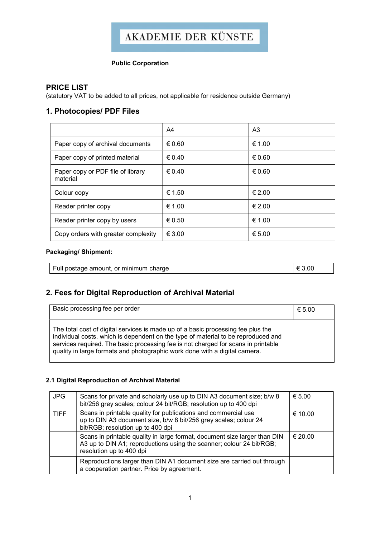# **AKADEMIE DER KÜNSTE**

## Public Corporation

# PRICE LIST

(statutory VAT to be added to all prices, not applicable for residence outside Germany)

# 1. Photocopies/ PDF Files

|                                               | A4              | A3     |
|-----------------------------------------------|-----------------|--------|
| Paper copy of archival documents              | € 0.60          | € 1.00 |
| Paper copy of printed material                | $\epsilon$ 0.40 | € 0.60 |
| Paper copy or PDF file of library<br>material | $\epsilon$ 0.40 | € 0.60 |
| Colour copy                                   | € 1.50          | € 2.00 |
| Reader printer copy                           | € 1.00          | € 2.00 |
| Reader printer copy by users                  | € 0.50          | € 1.00 |
| Copy orders with greater complexity           | $\epsilon$ 3.00 | € 5.00 |

### Packaging/ Shipment:

| Full postage amount, or minimum charge |  |
|----------------------------------------|--|
|----------------------------------------|--|

# 2. Fees for Digital Reproduction of Archival Material

| Basic processing fee per order                                                                                                                                                                                                                                                                                                           | € 5.00 |
|------------------------------------------------------------------------------------------------------------------------------------------------------------------------------------------------------------------------------------------------------------------------------------------------------------------------------------------|--------|
| The total cost of digital services is made up of a basic processing fee plus the<br>individual costs, which is dependent on the type of material to be reproduced and<br>services required. The basic processing fee is not charged for scans in printable<br>quality in large formats and photographic work done with a digital camera. |        |

### 2.1 Digital Reproduction of Archival Material

| <b>JPG</b>  | Scans for private and scholarly use up to DIN A3 document size; b/w 8<br>bit/256 grey scales; colour 24 bit/RGB; resolution up to 400 dpi                                     | € 5.00  |
|-------------|-------------------------------------------------------------------------------------------------------------------------------------------------------------------------------|---------|
| <b>TIFF</b> | Scans in printable quality for publications and commercial use<br>up to DIN A3 document size, b/w 8 bit/256 grey scales; colour 24<br>bit/RGB; resolution up to 400 dpi       | € 10.00 |
|             | Scans in printable quality in large format, document size larger than DIN<br>A3 up to DIN A1; reproductions using the scanner; colour 24 bit/RGB;<br>resolution up to 400 dpi | € 20.00 |
|             | Reproductions larger than DIN A1 document size are carried out through<br>a cooperation partner. Price by agreement.                                                          |         |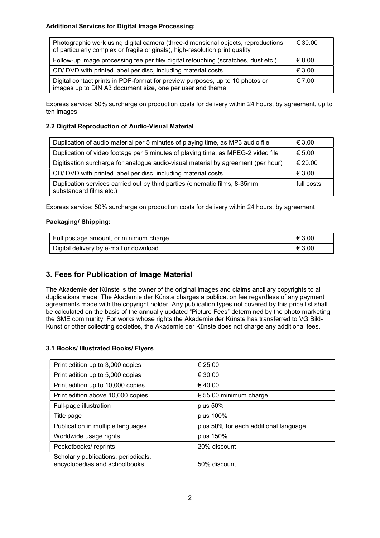#### Additional Services for Digital Image Processing:

| Photographic work using digital camera (three-dimensional objects, reproductions<br>of particularly complex or fragile originals), high-resolution print quality | € 30.00 |
|------------------------------------------------------------------------------------------------------------------------------------------------------------------|---------|
| Follow-up image processing fee per file/ digital retouching (scratches, dust etc.)                                                                               | € 8.00  |
| CD/ DVD with printed label per disc, including material costs                                                                                                    | € 3.00  |
| Digital contact prints in PDF-format for preview purposes, up to 10 photos or<br>images up to DIN A3 document size, one per user and theme                       | € 7.00  |

Express service: 50% surcharge on production costs for delivery within 24 hours, by agreement, up to ten images

#### 2.2 Digital Reproduction of Audio-Visual Material

| Duplication of audio material per 5 minutes of playing time, as MP3 audio file                         | € 3.00     |
|--------------------------------------------------------------------------------------------------------|------------|
| Duplication of video footage per 5 minutes of playing time, as MPEG-2 video file                       | € 5.00     |
| Digitisation surcharge for analogue audio-visual material by agreement (per hour)                      | € 20.00    |
| CD/DVD with printed label per disc, including material costs                                           | € 3.00     |
| Duplication services carried out by third parties (cinematic films, 8-35mm)<br>substandard films etc.) | full costs |

Express service: 50% surcharge on production costs for delivery within 24 hours, by agreement

## Packaging/ Shipping:

| Full postage amount, or minimum charge | € 3.00 |
|----------------------------------------|--------|
| Digital delivery by e-mail or download | € 3.00 |

## 3. Fees for Publication of Image Material

The Akademie der Künste is the owner of the original images and claims ancillary copyrights to all duplications made. The Akademie der Künste charges a publication fee regardless of any payment agreements made with the copyright holder. Any publication types not covered by this price list shall be calculated on the basis of the annually updated "Picture Fees" determined by the photo marketing the SME community. For works whose rights the Akademie der Künste has transferred to VG Bild-Kunst or other collecting societies, the Akademie der Künste does not charge any additional fees.

#### 3.1 Books/ Illustrated Books/ Flyers

| Print edition up to 3,000 copies                                      | € 25.00                               |
|-----------------------------------------------------------------------|---------------------------------------|
| Print edition up to 5,000 copies                                      | € 30.00                               |
| Print edition up to 10,000 copies                                     | € 40.00                               |
| Print edition above 10,000 copies                                     | € 55.00 minimum charge                |
| Full-page illustration                                                | plus $50%$                            |
| Title page                                                            | plus 100%                             |
| Publication in multiple languages                                     | plus 50% for each additional language |
| Worldwide usage rights                                                | plus 150%                             |
| Pocketbooks/reprints                                                  | 20% discount                          |
| Scholarly publications, periodicals,<br>encyclopedias and schoolbooks | 50% discount                          |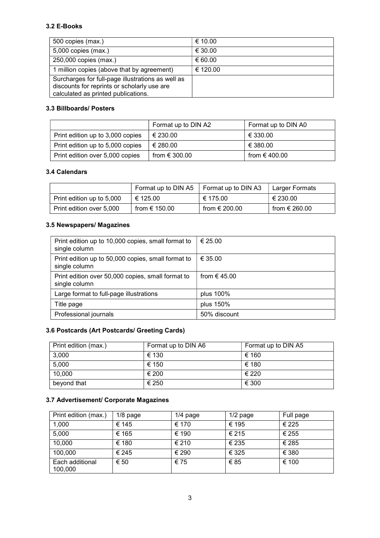## 3.2 E-Books

| 500 copies (max.)                                                                                                                       | € 10.00  |
|-----------------------------------------------------------------------------------------------------------------------------------------|----------|
| 5,000 copies (max.)                                                                                                                     | € 30.00  |
| 250,000 copies (max.)                                                                                                                   | € 60.00  |
| 1 million copies (above that by agreement)                                                                                              | € 120.00 |
| Surcharges for full-page illustrations as well as<br>discounts for reprints or scholarly use are<br>calculated as printed publications. |          |

## 3.3 Billboards/ Posters

|                                  | Format up to DIN A2    | Format up to DIN A0 |
|----------------------------------|------------------------|---------------------|
| Print edition up to 3,000 copies | € 230.00               | € 330.00            |
| Print edition up to 5,000 copies | € 280.00               | € 380.00            |
| Print edition over 5,000 copies  | from $\epsilon$ 300.00 | from € 400.00       |

### 3.4 Calendars

|                           | Format up to DIN A5    | Format up to DIN A3    | Larger Formats         |
|---------------------------|------------------------|------------------------|------------------------|
| Print edition up to 5,000 | € 125.00               | € 175.00               | € 230.00               |
| Print edition over 5,000  | from $\epsilon$ 150.00 | from $\epsilon$ 200.00 | from $\epsilon$ 260.00 |

# 3.5 Newspapers/ Magazines

| Print edition up to 10,000 copies, small format to<br>single column | € 25.00          |
|---------------------------------------------------------------------|------------------|
| Print edition up to 50,000 copies, small format to<br>single column | € 35.00          |
| Print edition over 50,000 copies, small format to<br>single column  | from $\in$ 45.00 |
| Large format to full-page illustrations                             | plus 100%        |
| Title page                                                          | plus 150%        |
| Professional journals                                               | 50% discount     |

# 3.6 Postcards (Art Postcards/ Greeting Cards)

| Print edition (max.) | Format up to DIN A6 | Format up to DIN A5 |
|----------------------|---------------------|---------------------|
| 3,000                | € 130               | € 160               |
| 5,000                | € 150               | € 180               |
| 10,000               | € 200               | € 220               |
| beyond that          | € 250               | € 300               |

# 3.7 Advertisement/ Corporate Magazines

| Print edition (max.)       | $1/8$ page | $1/4$ page | $1/2$ page | Full page |
|----------------------------|------------|------------|------------|-----------|
| 1,000                      | € 145      | € 170      | € 195      | € 225     |
| 5,000                      | € 165      | € 190      | € 215      | € 255     |
| 10,000                     | € 180      | € 210      | € 235      | € 285     |
| 100,000                    | € 245      | € 290      | € 325      | € 380     |
| Each additional<br>100,000 | € 50       | € 75       | €85        | € 100     |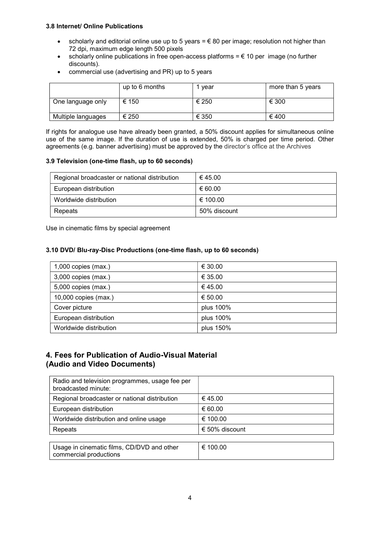#### 3.8 Internet/ Online Publications

- scholarly and editorial online use up to 5 years  $= \epsilon$  80 per image; resolution not higher than 72 dpi, maximum edge length 500 pixels
- scholarly online publications in free open-access platforms  $= \epsilon$  10 per image (no further discounts).
- commercial use (advertising and PR) up to 5 years

|                    | up to 6 months | vear  | more than 5 years |
|--------------------|----------------|-------|-------------------|
| One language only  | € 150          | € 250 | € 300             |
| Multiple languages | € 250          | € 350 | € 400             |

If rights for analogue use have already been granted, a 50% discount applies for simultaneous online use of the same image. If the duration of use is extended, 50% is charged per time period. Other agreements (e.g. banner advertising) must be approved by the director's office at the Archives

#### 3.9 Television (one-time flash, up to 60 seconds)

| Regional broadcaster or national distribution | € 45.00      |
|-----------------------------------------------|--------------|
| European distribution                         | € 60.00      |
| Worldwide distribution                        | € 100.00     |
| Repeats                                       | 50% discount |

Use in cinematic films by special agreement

#### 3.10 DVD/ Blu-ray-Disc Productions (one-time flash, up to 60 seconds)

| $1,000$ copies (max.)  | € 30.00   |
|------------------------|-----------|
| $3,000$ copies (max.)  | € 35.00   |
| 5,000 copies (max.)    | €45.00    |
| 10,000 copies (max.)   | € 50.00   |
| Cover picture          | plus 100% |
| European distribution  | plus 100% |
| Worldwide distribution | plus 150% |

## 4. Fees for Publication of Audio-Visual Material (Audio and Video Documents)

| Radio and television programmes, usage fee per<br>broadcasted minute: |                |
|-----------------------------------------------------------------------|----------------|
| Regional broadcaster or national distribution                         | € 45.00        |
| European distribution                                                 | € 60.00        |
| Worldwide distribution and online usage                               | € 100.00       |
| Repeats                                                               | € 50% discount |
|                                                                       |                |
| Usage in cinematic films, CD/DVD and other<br>commercial productions  | € 100.00       |